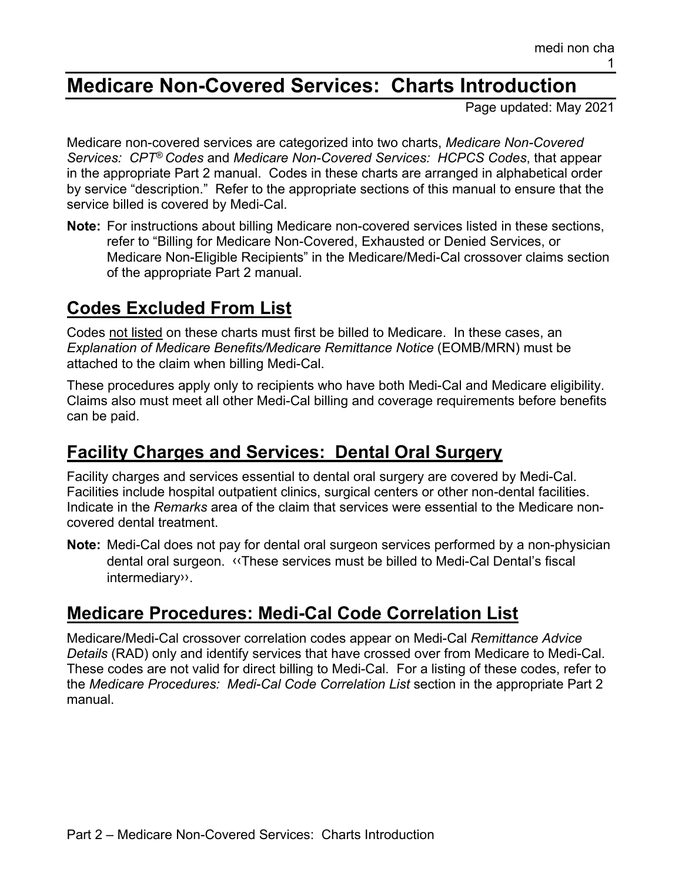# **Medicare Non-Covered Services: Charts Introduction**

Page updated: May 2021

Medicare non-covered services are categorized into two charts, *Medicare Non-Covered Services: CPT® Codes* and *Medicare Non-Covered Services: HCPCS Codes*, that appear in the appropriate Part 2 manual. Codes in these charts are arranged in alphabetical order by service "description." Refer to the appropriate sections of this manual to ensure that the service billed is covered by Medi-Cal.

**Note:** For instructions about billing Medicare non-covered services listed in these sections, refer to "Billing for Medicare Non-Covered, Exhausted or Denied Services, or Medicare Non-Eligible Recipients" in the Medicare/Medi-Cal crossover claims section of the appropriate Part 2 manual.

# **Codes Excluded From List**

Codes not listed on these charts must first be billed to Medicare. In these cases, an *Explanation of Medicare Benefits/Medicare Remittance Notice* (EOMB/MRN) must be attached to the claim when billing Medi-Cal.

These procedures apply only to recipients who have both Medi-Cal and Medicare eligibility. Claims also must meet all other Medi-Cal billing and coverage requirements before benefits can be paid.

### **Facility Charges and Services: Dental Oral Surgery**

Facility charges and services essential to dental oral surgery are covered by Medi-Cal. Facilities include hospital outpatient clinics, surgical centers or other non-dental facilities. Indicate in the *Remarks* area of the claim that services were essential to the Medicare noncovered dental treatment.

**Note:** Medi-Cal does not pay for dental oral surgeon services performed by a non-physician dental oral surgeon. [‹‹T](#page-1-0)hese services must be billed to Medi-Cal Dental's fiscal intermediar[y››.](#page-1-1)

#### **Medicare Procedures: Medi-Cal Code Correlation List**

Medicare/Medi-Cal crossover correlation codes appear on Medi-Cal *Remittance Advice Details* (RAD) only and identify services that have crossed over from Medicare to Medi-Cal. These codes are not valid for direct billing to Medi-Cal. For a listing of these codes, refer to the *Medicare Procedures: Medi-Cal Code Correlation List* section in the appropriate Part 2 manual.